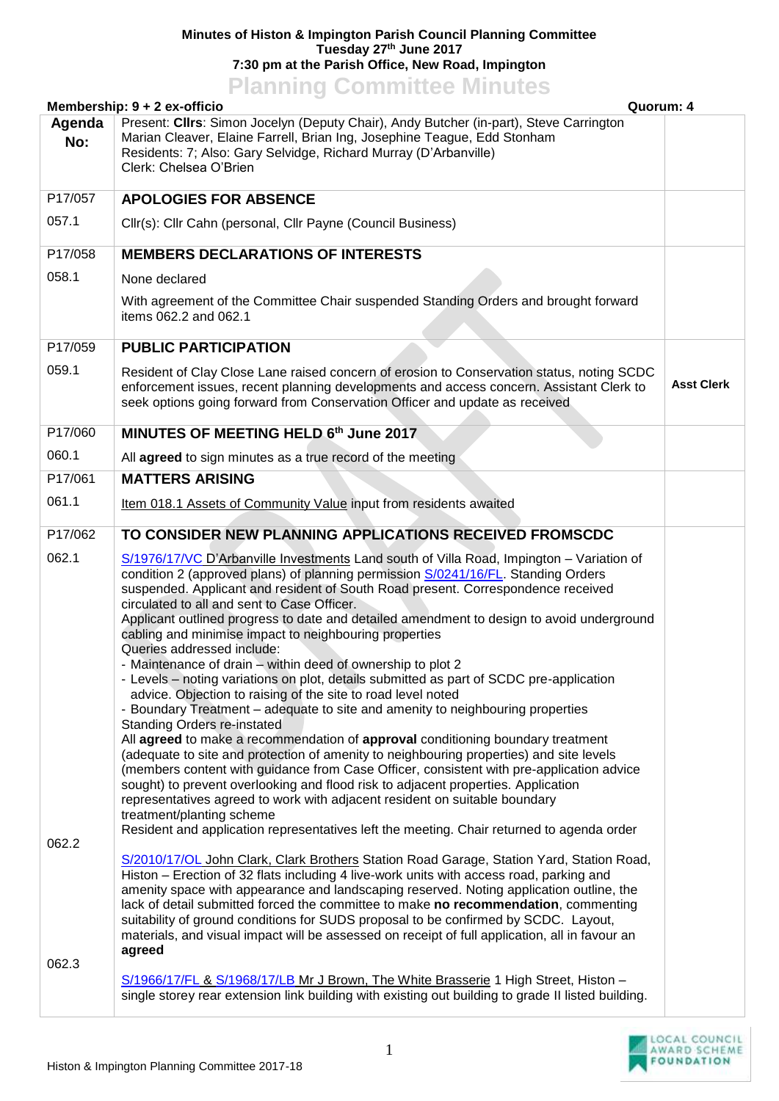## **Minutes of Histon & Impington Parish Council Planning Committee Tuesday 27th June 2017 7:30 pm at the Parish Office, New Road, Impington**

## **Planning Committee Minutes**

|                         | Membership: 9 + 2 ex-officio<br>Quorum: 4                                                                                                                                                                                                                                                                                                                                                                                                                                                                                                                                                                                                                                                                                                                                                                                                                                                                                                                                                                                                                                                                                                                                                                                                                                                                                                                                                                                                                                                                                                                                                                                                                                                                                                                                                                                                                                                                                                                                                                  |                   |
|-------------------------|------------------------------------------------------------------------------------------------------------------------------------------------------------------------------------------------------------------------------------------------------------------------------------------------------------------------------------------------------------------------------------------------------------------------------------------------------------------------------------------------------------------------------------------------------------------------------------------------------------------------------------------------------------------------------------------------------------------------------------------------------------------------------------------------------------------------------------------------------------------------------------------------------------------------------------------------------------------------------------------------------------------------------------------------------------------------------------------------------------------------------------------------------------------------------------------------------------------------------------------------------------------------------------------------------------------------------------------------------------------------------------------------------------------------------------------------------------------------------------------------------------------------------------------------------------------------------------------------------------------------------------------------------------------------------------------------------------------------------------------------------------------------------------------------------------------------------------------------------------------------------------------------------------------------------------------------------------------------------------------------------------|-------------------|
| Agenda<br>No:           | Present: Clirs: Simon Jocelyn (Deputy Chair), Andy Butcher (in-part), Steve Carrington<br>Marian Cleaver, Elaine Farrell, Brian Ing, Josephine Teague, Edd Stonham<br>Residents: 7; Also: Gary Selvidge, Richard Murray (D'Arbanville)<br>Clerk: Chelsea O'Brien                                                                                                                                                                                                                                                                                                                                                                                                                                                                                                                                                                                                                                                                                                                                                                                                                                                                                                                                                                                                                                                                                                                                                                                                                                                                                                                                                                                                                                                                                                                                                                                                                                                                                                                                           |                   |
| P17/057                 | <b>APOLOGIES FOR ABSENCE</b>                                                                                                                                                                                                                                                                                                                                                                                                                                                                                                                                                                                                                                                                                                                                                                                                                                                                                                                                                                                                                                                                                                                                                                                                                                                                                                                                                                                                                                                                                                                                                                                                                                                                                                                                                                                                                                                                                                                                                                               |                   |
| 057.1                   | Cllr(s): Cllr Cahn (personal, Cllr Payne (Council Business)                                                                                                                                                                                                                                                                                                                                                                                                                                                                                                                                                                                                                                                                                                                                                                                                                                                                                                                                                                                                                                                                                                                                                                                                                                                                                                                                                                                                                                                                                                                                                                                                                                                                                                                                                                                                                                                                                                                                                |                   |
| P17/058                 | <b>MEMBERS DECLARATIONS OF INTERESTS</b>                                                                                                                                                                                                                                                                                                                                                                                                                                                                                                                                                                                                                                                                                                                                                                                                                                                                                                                                                                                                                                                                                                                                                                                                                                                                                                                                                                                                                                                                                                                                                                                                                                                                                                                                                                                                                                                                                                                                                                   |                   |
| 058.1                   | None declared                                                                                                                                                                                                                                                                                                                                                                                                                                                                                                                                                                                                                                                                                                                                                                                                                                                                                                                                                                                                                                                                                                                                                                                                                                                                                                                                                                                                                                                                                                                                                                                                                                                                                                                                                                                                                                                                                                                                                                                              |                   |
|                         | With agreement of the Committee Chair suspended Standing Orders and brought forward<br>items 062.2 and 062.1                                                                                                                                                                                                                                                                                                                                                                                                                                                                                                                                                                                                                                                                                                                                                                                                                                                                                                                                                                                                                                                                                                                                                                                                                                                                                                                                                                                                                                                                                                                                                                                                                                                                                                                                                                                                                                                                                               |                   |
| P17/059                 | <b>PUBLIC PARTICIPATION</b>                                                                                                                                                                                                                                                                                                                                                                                                                                                                                                                                                                                                                                                                                                                                                                                                                                                                                                                                                                                                                                                                                                                                                                                                                                                                                                                                                                                                                                                                                                                                                                                                                                                                                                                                                                                                                                                                                                                                                                                |                   |
| 059.1                   | Resident of Clay Close Lane raised concern of erosion to Conservation status, noting SCDC<br>enforcement issues, recent planning developments and access concern. Assistant Clerk to<br>seek options going forward from Conservation Officer and update as received                                                                                                                                                                                                                                                                                                                                                                                                                                                                                                                                                                                                                                                                                                                                                                                                                                                                                                                                                                                                                                                                                                                                                                                                                                                                                                                                                                                                                                                                                                                                                                                                                                                                                                                                        | <b>Asst Clerk</b> |
| P17/060                 | MINUTES OF MEETING HELD 6th June 2017                                                                                                                                                                                                                                                                                                                                                                                                                                                                                                                                                                                                                                                                                                                                                                                                                                                                                                                                                                                                                                                                                                                                                                                                                                                                                                                                                                                                                                                                                                                                                                                                                                                                                                                                                                                                                                                                                                                                                                      |                   |
| 060.1                   | All agreed to sign minutes as a true record of the meeting                                                                                                                                                                                                                                                                                                                                                                                                                                                                                                                                                                                                                                                                                                                                                                                                                                                                                                                                                                                                                                                                                                                                                                                                                                                                                                                                                                                                                                                                                                                                                                                                                                                                                                                                                                                                                                                                                                                                                 |                   |
| P17/061                 | <b>MATTERS ARISING</b>                                                                                                                                                                                                                                                                                                                                                                                                                                                                                                                                                                                                                                                                                                                                                                                                                                                                                                                                                                                                                                                                                                                                                                                                                                                                                                                                                                                                                                                                                                                                                                                                                                                                                                                                                                                                                                                                                                                                                                                     |                   |
| 061.1                   | Item 018.1 Assets of Community Value input from residents awaited                                                                                                                                                                                                                                                                                                                                                                                                                                                                                                                                                                                                                                                                                                                                                                                                                                                                                                                                                                                                                                                                                                                                                                                                                                                                                                                                                                                                                                                                                                                                                                                                                                                                                                                                                                                                                                                                                                                                          |                   |
| P17/062                 | TO CONSIDER NEW PLANNING APPLICATIONS RECEIVED FROMSCDC                                                                                                                                                                                                                                                                                                                                                                                                                                                                                                                                                                                                                                                                                                                                                                                                                                                                                                                                                                                                                                                                                                                                                                                                                                                                                                                                                                                                                                                                                                                                                                                                                                                                                                                                                                                                                                                                                                                                                    |                   |
| 062.1<br>062.2<br>062.3 | S/1976/17/VC D'Arbanville Investments Land south of Villa Road, Impington - Variation of<br>condition 2 (approved plans) of planning permission S/0241/16/FL. Standing Orders<br>suspended. Applicant and resident of South Road present. Correspondence received<br>circulated to all and sent to Case Officer.<br>Applicant outlined progress to date and detailed amendment to design to avoid underground<br>cabling and minimise impact to neighbouring properties<br>Queries addressed include:<br>- Maintenance of drain - within deed of ownership to plot 2<br>- Levels – noting variations on plot, details submitted as part of SCDC pre-application<br>advice. Objection to raising of the site to road level noted<br>- Boundary Treatment – adequate to site and amenity to neighbouring properties<br><b>Standing Orders re-instated</b><br>All agreed to make a recommendation of approval conditioning boundary treatment<br>(adequate to site and protection of amenity to neighbouring properties) and site levels<br>(members content with guidance from Case Officer, consistent with pre-application advice<br>sought) to prevent overlooking and flood risk to adjacent properties. Application<br>representatives agreed to work with adjacent resident on suitable boundary<br>treatment/planting scheme<br>Resident and application representatives left the meeting. Chair returned to agenda order<br>S/2010/17/OL John Clark, Clark Brothers Station Road Garage, Station Yard, Station Road,<br>Histon - Erection of 32 flats including 4 live-work units with access road, parking and<br>amenity space with appearance and landscaping reserved. Noting application outline, the<br>lack of detail submitted forced the committee to make no recommendation, commenting<br>suitability of ground conditions for SUDS proposal to be confirmed by SCDC. Layout,<br>materials, and visual impact will be assessed on receipt of full application, all in favour an<br>agreed |                   |
|                         | S/1966/17/FL & S/1968/17/LB Mr J Brown, The White Brasserie 1 High Street, Histon -<br>single storey rear extension link building with existing out building to grade II listed building.                                                                                                                                                                                                                                                                                                                                                                                                                                                                                                                                                                                                                                                                                                                                                                                                                                                                                                                                                                                                                                                                                                                                                                                                                                                                                                                                                                                                                                                                                                                                                                                                                                                                                                                                                                                                                  |                   |

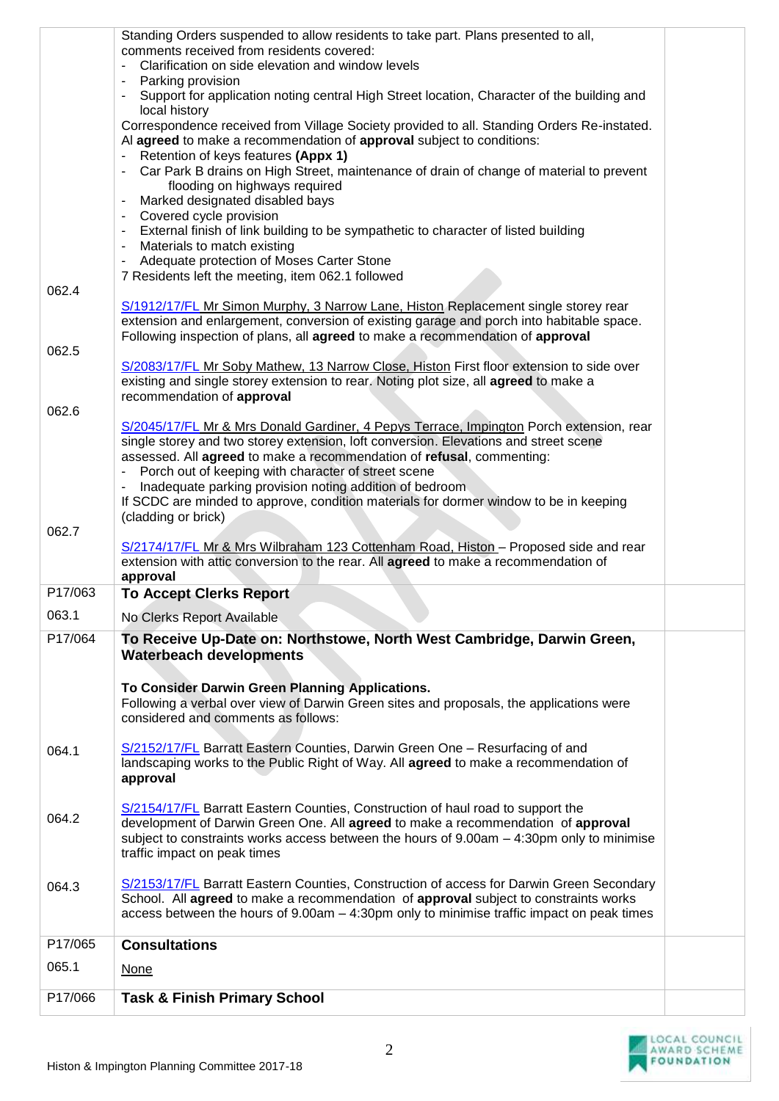|         | Standing Orders suspended to allow residents to take part. Plans presented to all,<br>comments received from residents covered:<br>Clarification on side elevation and window levels                                                                                                               |  |
|---------|----------------------------------------------------------------------------------------------------------------------------------------------------------------------------------------------------------------------------------------------------------------------------------------------------|--|
|         | Parking provision<br>Support for application noting central High Street location, Character of the building and<br>local history                                                                                                                                                                   |  |
|         | Correspondence received from Village Society provided to all. Standing Orders Re-instated.<br>Al agreed to make a recommendation of approval subject to conditions:<br>Retention of keys features (Appx 1)                                                                                         |  |
|         | Car Park B drains on High Street, maintenance of drain of change of material to prevent<br>flooding on highways required<br>Marked designated disabled bays                                                                                                                                        |  |
|         | Covered cycle provision<br>External finish of link building to be sympathetic to character of listed building<br>Materials to match existing                                                                                                                                                       |  |
|         | Adequate protection of Moses Carter Stone<br>7 Residents left the meeting, item 062.1 followed                                                                                                                                                                                                     |  |
| 062.4   | S/1912/17/FL Mr Simon Murphy, 3 Narrow Lane, Histon Replacement single storey rear<br>extension and enlargement, conversion of existing garage and porch into habitable space.<br>Following inspection of plans, all agreed to make a recommendation of approval                                   |  |
| 062.5   | S/2083/17/FL Mr Soby Mathew, 13 Narrow Close, Histon First floor extension to side over<br>existing and single storey extension to rear. Noting plot size, all agreed to make a<br>recommendation of approval                                                                                      |  |
| 062.6   |                                                                                                                                                                                                                                                                                                    |  |
|         | S/2045/17/FL Mr & Mrs Donald Gardiner, 4 Pepys Terrace, Impington Porch extension, rear<br>single storey and two storey extension, loft conversion. Elevations and street scene<br>assessed. All agreed to make a recommendation of refusal, commenting:                                           |  |
|         | Porch out of keeping with character of street scene<br>Inadequate parking provision noting addition of bedroom<br>If SCDC are minded to approve, condition materials for dormer window to be in keeping                                                                                            |  |
| 062.7   | (cladding or brick)                                                                                                                                                                                                                                                                                |  |
|         | S/2174/17/FL Mr & Mrs Wilbraham 123 Cottenham Road, Histon - Proposed side and rear<br>extension with attic conversion to the rear. All agreed to make a recommendation of<br>approval                                                                                                             |  |
| P17/063 | <b>To Accept Clerks Report</b>                                                                                                                                                                                                                                                                     |  |
| 063.1   | No Clerks Report Available                                                                                                                                                                                                                                                                         |  |
| P17/064 | To Receive Up-Date on: Northstowe, North West Cambridge, Darwin Green,<br><b>Waterbeach developments</b>                                                                                                                                                                                           |  |
|         | To Consider Darwin Green Planning Applications.<br>Following a verbal over view of Darwin Green sites and proposals, the applications were<br>considered and comments as follows:                                                                                                                  |  |
| 064.1   | S/2152/17/FL Barratt Eastern Counties, Darwin Green One - Resurfacing of and<br>landscaping works to the Public Right of Way. All agreed to make a recommendation of<br>approval                                                                                                                   |  |
| 064.2   | S/2154/17/FL Barratt Eastern Counties, Construction of haul road to support the<br>development of Darwin Green One. All agreed to make a recommendation of approval<br>subject to constraints works access between the hours of $9.00am - 4:30pm$ only to minimise<br>traffic impact on peak times |  |
| 064.3   | S/2153/17/FL Barratt Eastern Counties, Construction of access for Darwin Green Secondary<br>School. All agreed to make a recommendation of approval subject to constraints works<br>access between the hours of 9.00am - 4:30pm only to minimise traffic impact on peak times                      |  |
| P17/065 | <b>Consultations</b>                                                                                                                                                                                                                                                                               |  |
| 065.1   | <b>None</b>                                                                                                                                                                                                                                                                                        |  |
| P17/066 | <b>Task &amp; Finish Primary School</b>                                                                                                                                                                                                                                                            |  |
|         |                                                                                                                                                                                                                                                                                                    |  |